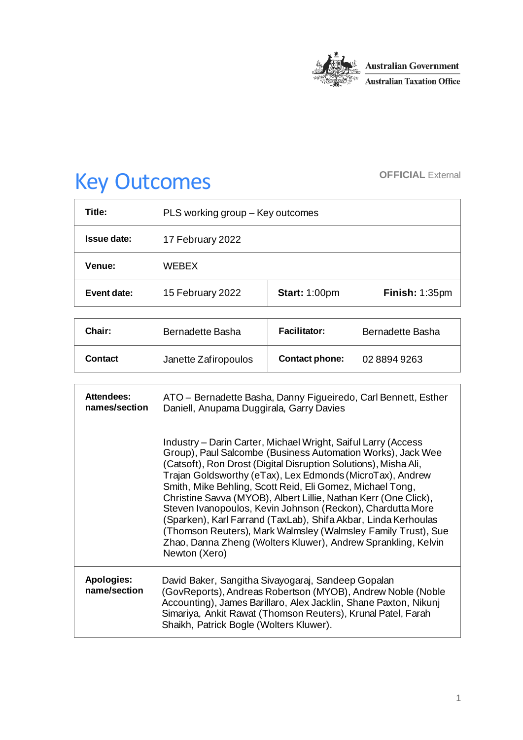

# Key Outcomes **OFFICIAL External**

| Title:        | PLS working group - Key outcomes |                      |                |
|---------------|----------------------------------|----------------------|----------------|
| Issue date:   | 17 February 2022                 |                      |                |
| <b>Venue:</b> | <b>WFRFX</b>                     |                      |                |
| Event date:   | 15 February 2022                 | <b>Start: 1:00pm</b> | Finish: 1:35pm |

| Chair:  | Bernadette Basha     | <b>Facilitator:</b>   | Bernadette Basha |
|---------|----------------------|-----------------------|------------------|
| Contact | Janette Zafiropoulos | <b>Contact phone:</b> | 02 8894 9263     |

| <b>Attendees:</b><br>names/section | ATO - Bernadette Basha, Danny Figueiredo, Carl Bennett, Esther<br>Daniell, Anupama Duggirala, Garry Davies                                                                                                                                                                                                                                                                                                                                                                                                                                                                                                                                                                      |
|------------------------------------|---------------------------------------------------------------------------------------------------------------------------------------------------------------------------------------------------------------------------------------------------------------------------------------------------------------------------------------------------------------------------------------------------------------------------------------------------------------------------------------------------------------------------------------------------------------------------------------------------------------------------------------------------------------------------------|
|                                    | Industry – Darin Carter, Michael Wright, Saiful Larry (Access<br>Group), Paul Salcombe (Business Automation Works), Jack Wee<br>(Catsoft), Ron Drost (Digital Disruption Solutions), Misha Ali,<br>Trajan Goldsworthy (eTax), Lex Edmonds (MicroTax), Andrew<br>Smith, Mike Behling, Scott Reid, Eli Gomez, Michael Tong,<br>Christine Savva (MYOB), Albert Lillie, Nathan Kerr (One Click),<br>Steven Ivanopoulos, Kevin Johnson (Reckon), Chardutta More<br>(Sparken), Karl Farrand (TaxLab), Shifa Akbar, Linda Kerhoulas<br>(Thomson Reuters), Mark Walmsley (Walmsley Family Trust), Sue<br>Zhao, Danna Zheng (Wolters Kluwer), Andrew Sprankling, Kelvin<br>Newton (Xero) |
| <b>Apologies:</b><br>name/section  | David Baker, Sangitha Sivayogaraj, Sandeep Gopalan<br>(GovReports), Andreas Robertson (MYOB), Andrew Noble (Noble<br>Accounting), James Barillaro, Alex Jacklin, Shane Paxton, Nikunj<br>Simariya, Ankit Rawat (Thomson Reuters), Krunal Patel, Farah<br>Shaikh, Patrick Bogle (Wolters Kluwer).                                                                                                                                                                                                                                                                                                                                                                                |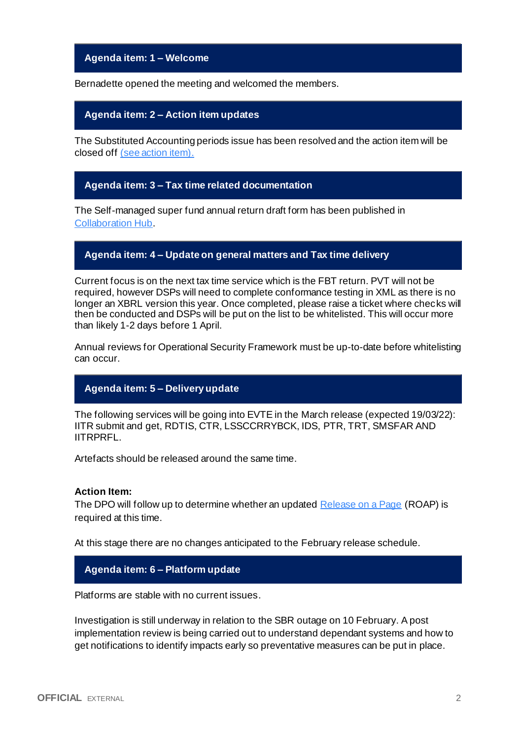# **Agenda item: 1 – Welcome**

Bernadette opened the meeting and welcomed the members.

## **Agenda item: 2 – Action item updates**

The Substituted Accounting periods issue has been resolved and the action item will be closed off [\(see action item\).](https://developer.sbr.gov.au/collaborate/display/DSPCOLLAB/PLSWG+action+items)

## **Agenda item: 3 – Tax time related documentation**

The Self-managed super fund annual return draft form has been published in [Collaboration Hub.](https://developer.sbr.gov.au/collaborate/display/DSPCOLLAB/2022+Tax+Time+draft+forms)

# **Agenda item: 4 – Update on general matters and Tax time delivery**

Current focus is on the next tax time service which is the FBT return. PVT will not be required, however DSPs will need to complete conformance testing in XML as there is no longer an XBRL version this year. Once completed, please raise a ticket where checks will then be conducted and DSPs will be put on the list to be whitelisted. This will occur more than likely 1-2 days before 1 April.

Annual reviews for Operational Security Framework must be up-to-date before whitelisting can occur.

## **Agenda item: 5 – Delivery update**

The following services will be going into EVTE in the March release (expected 19/03/22): IITR submit and get, RDTIS, CTR, LSSCCRRYBCK, IDS, PTR, TRT, SMSFAR AND IITRPRFL.

Artefacts should be released around the same time.

#### **Action Item:**

The DPO will follow up to determine whether an update[d Release on a Page](https://developer.sbr.gov.au/collaborate/pages/viewpage.action?pageId=121251987) (ROAP) is required at this time.

At this stage there are no changes anticipated to the February release schedule.

### **Agenda item: 6 – Platform update**

Platforms are stable with no current issues.

Investigation is still underway in relation to the SBR outage on 10 February. A post implementation review is being carried out to understand dependant systems and how to get notifications to identify impacts early so preventative measures can be put in place.